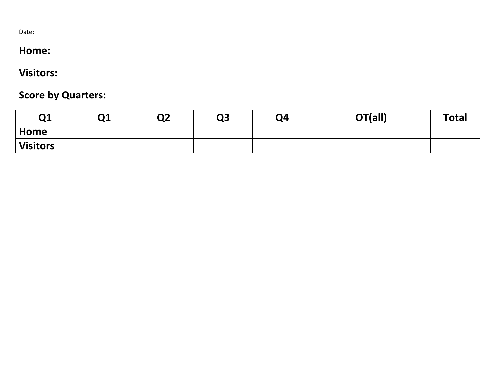Date:

# **Home:**

# **Visitors:**

# **Score by Quarters:**

| Q1              | Q <sub>1</sub> | Q2 | Q3 | Q4 | OT(all) | <b>Total</b> |
|-----------------|----------------|----|----|----|---------|--------------|
| $\mid$ Home     |                |    |    |    |         |              |
| <b>Visitors</b> |                |    |    |    |         |              |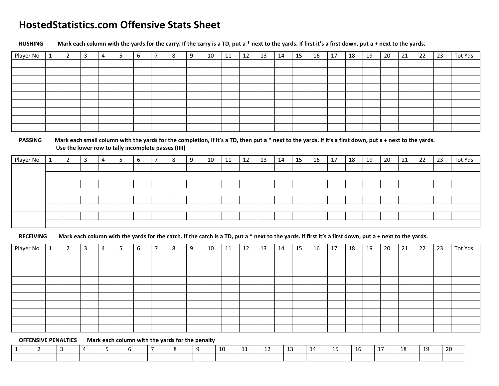### **HostedStatistics.com Offensive Stats Sheet**

**RUSHING Mark each column with the yards for the carry. If the carry is a TD, put a \* next to the yards. If first it's a first down, put a + next to the yards.** 

| Player No | ᆚ | $\overline{2}$ | 3 | 4 | 5 | b | $\overline{7}$ | 8 | 9 | 10 | 11 | 12 | 13 | 14 | 15 | 16 | 17 | 18 | 19 | 20 | 21 | 22 | 23 | Tot Yds |
|-----------|---|----------------|---|---|---|---|----------------|---|---|----|----|----|----|----|----|----|----|----|----|----|----|----|----|---------|
|           |   |                |   |   |   |   |                |   |   |    |    |    |    |    |    |    |    |    |    |    |    |    |    |         |
|           |   |                |   |   |   |   |                |   |   |    |    |    |    |    |    |    |    |    |    |    |    |    |    |         |
|           |   |                |   |   |   |   |                |   |   |    |    |    |    |    |    |    |    |    |    |    |    |    |    |         |
|           |   |                |   |   |   |   |                |   |   |    |    |    |    |    |    |    |    |    |    |    |    |    |    |         |
|           |   |                |   |   |   |   |                |   |   |    |    |    |    |    |    |    |    |    |    |    |    |    |    |         |
|           |   |                |   |   |   |   |                |   |   |    |    |    |    |    |    |    |    |    |    |    |    |    |    |         |
|           |   |                |   |   |   |   |                |   |   |    |    |    |    |    |    |    |    |    |    |    |    |    |    |         |
|           |   |                |   |   |   |   |                |   |   |    |    |    |    |    |    |    |    |    |    |    |    |    |    |         |
|           |   |                |   |   |   |   |                |   |   |    |    |    |    |    |    |    |    |    |    |    |    |    |    |         |

#### **PASSING Mark each small column with the yards for the completion, if it's a TD, then put a \* next to the yards. If it's a first down, put a + next to the yards. Use the lower row to tally incomplete passes (IIII)**

| Player No | <b>.</b> | $\overline{\phantom{0}}$<br>∼ | 3 | ∍ | b | 8 | 10 | 11 | 12 | 13 | 14 | 15 | 16 | 17 | 18 | 19 | 20 | 21 | 22 | 23 | Tot Yds |
|-----------|----------|-------------------------------|---|---|---|---|----|----|----|----|----|----|----|----|----|----|----|----|----|----|---------|
|           |          |                               |   |   |   |   |    |    |    |    |    |    |    |    |    |    |    |    |    |    |         |
|           |          |                               |   |   |   |   |    |    |    |    |    |    |    |    |    |    |    |    |    |    |         |
|           |          |                               |   |   |   |   |    |    |    |    |    |    |    |    |    |    |    |    |    |    |         |
|           |          |                               |   |   |   |   |    |    |    |    |    |    |    |    |    |    |    |    |    |    |         |
|           |          |                               |   |   |   |   |    |    |    |    |    |    |    |    |    |    |    |    |    |    |         |
|           |          |                               |   |   |   |   |    |    |    |    |    |    |    |    |    |    |    |    |    |    |         |
|           |          |                               |   |   |   |   |    |    |    |    |    |    |    |    |    |    |    |    |    |    |         |
|           |          |                               |   |   |   |   |    |    |    |    |    |    |    |    |    |    |    |    |    |    |         |

#### **RECEIVING Mark each column with the yards for the catch. If the catch is a TD, put a \* next to the yards. If first it's a first down, put a + next to the yards.**

| Player No | $\overline{2}$ | 3 | 4 | 5 | 6 | - | 8 | 10 | 11 | 12 | 13 | 14 | 15 | 16 | 17 | 18 | 19 | 20 | 21 | 22 | 23 | Tot Yds |
|-----------|----------------|---|---|---|---|---|---|----|----|----|----|----|----|----|----|----|----|----|----|----|----|---------|
|           |                |   |   |   |   |   |   |    |    |    |    |    |    |    |    |    |    |    |    |    |    |         |
|           |                |   |   |   |   |   |   |    |    |    |    |    |    |    |    |    |    |    |    |    |    |         |
|           |                |   |   |   |   |   |   |    |    |    |    |    |    |    |    |    |    |    |    |    |    |         |
|           |                |   |   |   |   |   |   |    |    |    |    |    |    |    |    |    |    |    |    |    |    |         |
|           |                |   |   |   |   |   |   |    |    |    |    |    |    |    |    |    |    |    |    |    |    |         |
|           |                |   |   |   |   |   |   |    |    |    |    |    |    |    |    |    |    |    |    |    |    |         |
|           |                |   |   |   |   |   |   |    |    |    |    |    |    |    |    |    |    |    |    |    |    |         |
|           |                |   |   |   |   |   |   |    |    |    |    |    |    |    |    |    |    |    |    |    |    |         |
|           |                |   |   |   |   |   |   |    |    |    |    |    |    |    |    |    |    |    |    |    |    |         |
|           |                |   |   |   |   |   |   |    |    |    |    |    |    |    |    |    |    |    |    |    |    |         |
|           |                |   |   |   |   |   |   |    |    |    |    |    |    |    |    |    |    |    |    |    |    |         |

#### **OFFENSIVE PENALTIES Mark each column with the yards for the penalty**

|  |  |  |  |  |  | -14 |  | 18 | 10 | 20 |
|--|--|--|--|--|--|-----|--|----|----|----|
|  |  |  |  |  |  |     |  |    |    |    |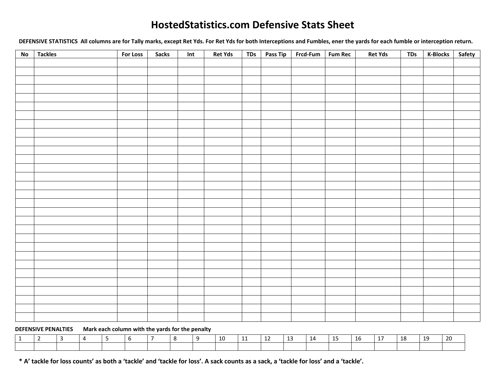### **HostedStatistics.com Defensive Stats Sheet**

**DEFENSIVE STATISTICS All columns are for Tally marks, except Ret Yds. For Ret Yds for both Interceptions and Fumbles, ener the yards for each fumble or interception return.** 

| No | <b>Tackles</b> | For Loss | <b>Sacks</b> | Int | <b>Ret Yds</b> | TDs | Pass Tip | Frcd-Fum   Fum Rec | <b>Ret Yds</b> | TDs | <b>K-Blocks</b> | Safety |
|----|----------------|----------|--------------|-----|----------------|-----|----------|--------------------|----------------|-----|-----------------|--------|
|    |                |          |              |     |                |     |          |                    |                |     |                 |        |
|    |                |          |              |     |                |     |          |                    |                |     |                 |        |
|    |                |          |              |     |                |     |          |                    |                |     |                 |        |
|    |                |          |              |     |                |     |          |                    |                |     |                 |        |
|    |                |          |              |     |                |     |          |                    |                |     |                 |        |
|    |                |          |              |     |                |     |          |                    |                |     |                 |        |
|    |                |          |              |     |                |     |          |                    |                |     |                 |        |
|    |                |          |              |     |                |     |          |                    |                |     |                 |        |
|    |                |          |              |     |                |     |          |                    |                |     |                 |        |
|    |                |          |              |     |                |     |          |                    |                |     |                 |        |
|    |                |          |              |     |                |     |          |                    |                |     |                 |        |
|    |                |          |              |     |                |     |          |                    |                |     |                 |        |
|    |                |          |              |     |                |     |          |                    |                |     |                 |        |
|    |                |          |              |     |                |     |          |                    |                |     |                 |        |
|    |                |          |              |     |                |     |          |                    |                |     |                 |        |
|    |                |          |              |     |                |     |          |                    |                |     |                 |        |
|    |                |          |              |     |                |     |          |                    |                |     |                 |        |
|    |                |          |              |     |                |     |          |                    |                |     |                 |        |
|    |                |          |              |     |                |     |          |                    |                |     |                 |        |
|    |                |          |              |     |                |     |          |                    |                |     |                 |        |
|    |                |          |              |     |                |     |          |                    |                |     |                 |        |
|    |                |          |              |     |                |     |          |                    |                |     |                 |        |
|    |                |          |              |     |                |     |          |                    |                |     |                 |        |
|    |                |          |              |     |                |     |          |                    |                |     |                 |        |
|    |                |          |              |     |                |     |          |                    |                |     |                 |        |
|    |                |          |              |     |                |     |          |                    |                |     |                 |        |
|    |                |          |              |     |                |     |          |                    |                |     |                 |        |
|    |                |          |              |     |                |     |          |                    |                |     |                 |        |
|    |                |          |              |     |                |     |          |                    |                |     |                 |        |
|    |                |          |              |     |                |     |          |                    |                |     |                 |        |

#### **DEFENSIVE PENALTIES Mark each column with the yards for the penalty**

|  |  |  |  | 10 | --- | <b></b> | $\sim$<br>-13 | 14 | $\overline{\phantom{a}}$<br>. 15 | 16 | 17 | 18 | 19 | $\mathbf{a}$ |
|--|--|--|--|----|-----|---------|---------------|----|----------------------------------|----|----|----|----|--------------|
|  |  |  |  |    |     |         |               |    |                                  |    |    |    |    |              |

**\* A' tackle for loss counts' as both a 'tackle' and 'tackle for loss'. A sack counts as a sack, a 'tackle for loss' and a 'tackle'.**